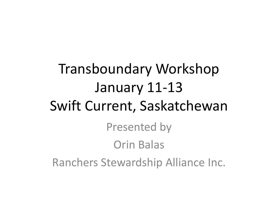Transboundary Workshop January 11-13 Swift Current, Saskatchewan Presented by Orin Balas Ranchers Stewardship Alliance Inc.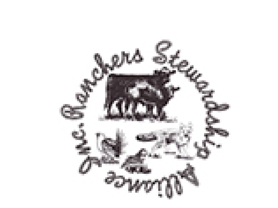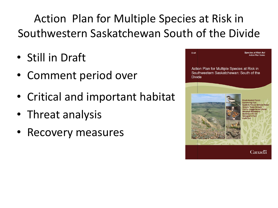Action Plan for Multiple Species at Risk in Southwestern Saskatchewan South of the Divide

- Still in Draft
- Comment period over
- Critical and important habitat
- Threat analysis
- Recovery measures

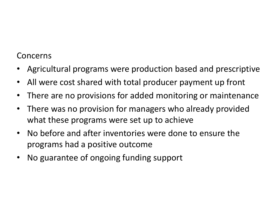## Concerns

- Agricultural programs were production based and prescriptive
- All were cost shared with total producer payment up front
- There are no provisions for added monitoring or maintenance
- There was no provision for managers who already provided what these programs were set up to achieve
- No before and after inventories were done to ensure the programs had a positive outcome
- No guarantee of ongoing funding support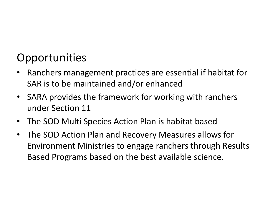## Opportunities

- Ranchers management practices are essential if habitat for SAR is to be maintained and/or enhanced
- SARA provides the framework for working with ranchers under Section 11
- The SOD Multi Species Action Plan is habitat based
- The SOD Action Plan and Recovery Measures allows for Environment Ministries to engage ranchers through Results Based Programs based on the best available science.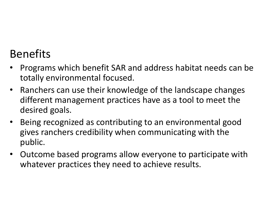## Benefits

- Programs which benefit SAR and address habitat needs can be totally environmental focused.
- Ranchers can use their knowledge of the landscape changes different management practices have as a tool to meet the desired goals.
- Being recognized as contributing to an environmental good gives ranchers credibility when communicating with the public.
- Outcome based programs allow everyone to participate with whatever practices they need to achieve results.